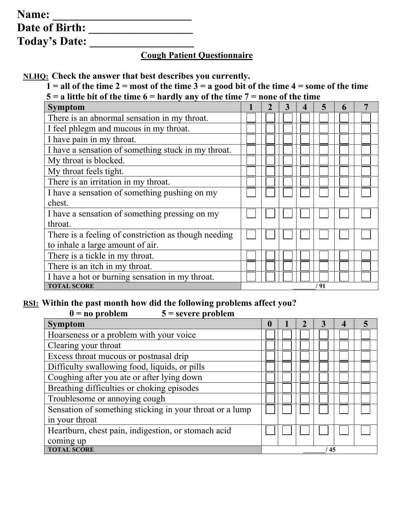| Name:                |  |
|----------------------|--|
| Date of Birth:       |  |
| <b>Today's Date:</b> |  |

## **Cough Patient Questionnaire**

**NLHQ: Check the answer that best describes you currently.** 

 $1 =$  all of the time  $2 =$  most of the time  $3 =$  a good bit of the time  $4 =$  some of the time **5 = a little bit of the time 6 = hardly any of the time 7 = none of the time**

| uit on the third of that any any or the third        |  |  |      |  |
|------------------------------------------------------|--|--|------|--|
| <b>Symptom</b>                                       |  |  |      |  |
| There is an abnormal sensation in my throat.         |  |  |      |  |
| I feel phlegm and mucous in my throat.               |  |  |      |  |
| I have pain in my throat.                            |  |  |      |  |
| I have a sensation of something stuck in my throat.  |  |  |      |  |
| My throat is blocked.                                |  |  |      |  |
| My throat feels tight.                               |  |  |      |  |
| There is an irritation in my throat.                 |  |  |      |  |
| I have a sensation of something pushing on my        |  |  |      |  |
| chest.                                               |  |  |      |  |
| I have a sensation of something pressing on my       |  |  |      |  |
| throat.                                              |  |  |      |  |
| There is a feeling of constriction as though needing |  |  |      |  |
| to inhale a large amount of air.                     |  |  |      |  |
| There is a tickle in my throat.                      |  |  |      |  |
| There is an itch in my throat.                       |  |  |      |  |
| I have a hot or burning sensation in my throat.      |  |  |      |  |
| <b>TOTAL SCORE</b>                                   |  |  | ' 91 |  |

## <u>RSI:</u> Within the past month how did the following problems affect you?<br> $0 = \text{no problem}$   $5 = \text{source problem}$  $\overline{\mathbf{5}}$  = severe problem

| $v - uv$ propient<br>$3 -$ severe propient               |          |  |    |   |
|----------------------------------------------------------|----------|--|----|---|
| <b>Symptom</b>                                           | $\bf{0}$ |  |    | 5 |
| Hoarseness or a problem with your voice                  |          |  |    |   |
| Clearing your throat                                     |          |  |    |   |
| Excess throat mucous or postnasal drip                   |          |  |    |   |
| Difficulty swallowing food, liquids, or pills            |          |  |    |   |
| Coughing after you ate or after lying down               |          |  |    |   |
| Breathing difficulties or choking episodes               |          |  |    |   |
| Troublesome or annoying cough                            |          |  |    |   |
| Sensation of something sticking in your throat or a lump |          |  |    |   |
| in your throat                                           |          |  |    |   |
| Heartburn, chest pain, indigestion, or stomach acid      |          |  |    |   |
| coming up                                                |          |  |    |   |
| <b>TOTAL SCORE</b>                                       |          |  | 45 |   |